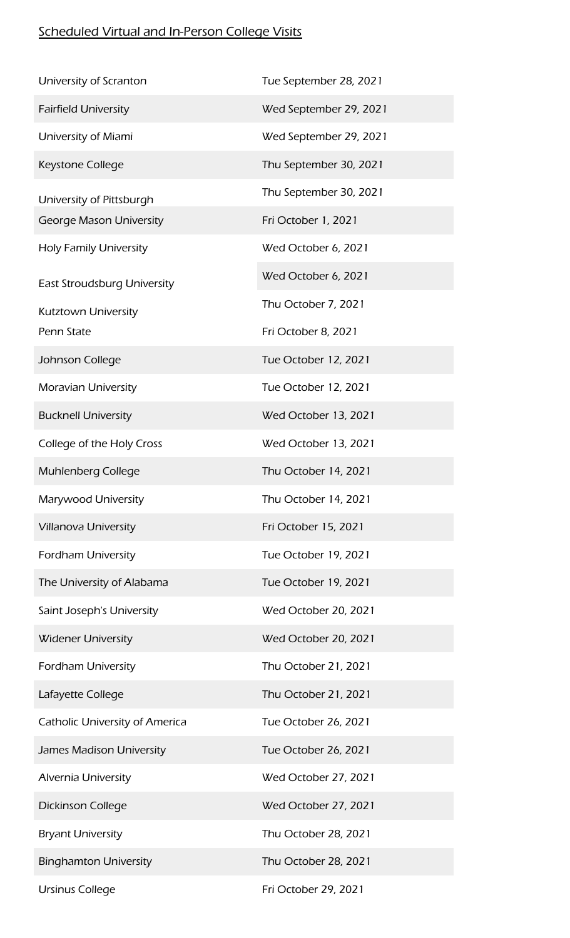## **Scheduled Virtual and In-Person College Visits**

| University of Scranton             | Tue September 28, 2021 |
|------------------------------------|------------------------|
| <b>Fairfield University</b>        | Wed September 29, 2021 |
| University of Miami                | Wed September 29, 2021 |
| Keystone College                   | Thu September 30, 2021 |
| University of Pittsburgh           | Thu September 30, 2021 |
| <b>George Mason University</b>     | Fri October 1, 2021    |
| <b>Holy Family University</b>      | Wed October 6, 2021    |
| <b>East Stroudsburg University</b> | Wed October 6, 2021    |
| Kutztown University                | Thu October 7, 2021    |
| Penn State                         | Fri October 8, 2021    |
| Johnson College                    | Tue October 12, 2021   |
| <b>Moravian University</b>         | Tue October 12, 2021   |
| <b>Bucknell University</b>         | Wed October 13, 2021   |
| College of the Holy Cross          | Wed October 13, 2021   |
| Muhlenberg College                 | Thu October 14, 2021   |
| Marywood University                | Thu October 14, 2021   |
| <b>Villanova University</b>        | Fri October 15, 2021   |
| <b>Fordham University</b>          | Tue October 19, 2021   |
| The University of Alabama          | Tue October 19, 2021   |
| Saint Joseph's University          | Wed October 20, 2021   |
| <b>Widener University</b>          | Wed October 20, 2021   |
| <b>Fordham University</b>          | Thu October 21, 2021   |
| Lafayette College                  | Thu October 21, 2021   |
| Catholic University of America     | Tue October 26, 2021   |
| James Madison University           | Tue October 26, 2021   |
| Alvernia University                | Wed October 27, 2021   |
| <b>Dickinson College</b>           | Wed October 27, 2021   |
| <b>Bryant University</b>           | Thu October 28, 2021   |
| <b>Binghamton University</b>       | Thu October 28, 2021   |
| <b>Ursinus College</b>             | Fri October 29, 2021   |